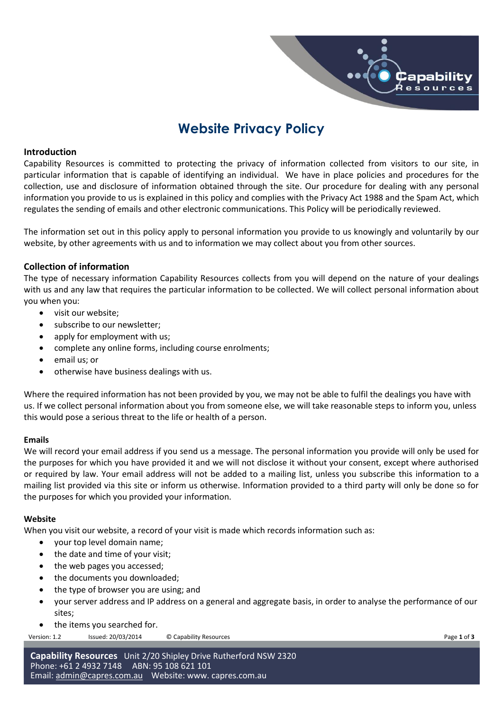# **Website Privacy Policy**

## **Introduction**

Capability Resources is committed to protecting the privacy of information collected from visitors to our site, in particular information that is capable of identifying an individual. We have in place policies and procedures for the collection, use and disclosure of information obtained through the site. Our procedure for dealing with any personal information you provide to us is explained in this policy and complies with the Privacy Act 1988 and the Spam Act, which regulates the sending of emails and other electronic communications. This Policy will be periodically reviewed.

The information set out in this policy apply to personal information you provide to us knowingly and voluntarily by our website, by other agreements with us and to information we may collect about you from other sources.

## **Collection of information**

The type of necessary information Capability Resources collects from you will depend on the nature of your dealings with us and any law that requires the particular information to be collected. We will collect personal information about you when you:

- visit our website:
- subscribe to our newsletter;
- apply for employment with us;
- complete any online forms, including course enrolments;
- email us; or
- otherwise have business dealings with us.

Where the required information has not been provided by you, we may not be able to fulfil the dealings you have with us. If we collect personal information about you from someone else, we will take reasonable steps to inform you, unless this would pose a serious threat to the life or health of a person.

#### **Emails**

We will record your email address if you send us a message. The personal information you provide will only be used for the purposes for which you have provided it and we will not disclose it without your consent, except where authorised or required by law. Your email address will not be added to a mailing list, unless you subscribe this information to a mailing list provided via this site or inform us otherwise. Information provided to a third party will only be done so for the purposes for which you provided your information.

#### **Website**

When you visit our website, a record of your visit is made which records information such as:

- your top level domain name;
- the date and time of your visit:
- the web pages you accessed;
- the documents you downloaded;
- the type of browser you are using: and
- your server address and IP address on a general and aggregate basis, in order to analyse the performance of our sites;
- the items you searched for.

Version: 1.2 Issued: 20/03/2014 © Capability Resources **Page 1** of **3** 

 $\hat{\bm{\mathsf{C}}}$ apability Ŕesources

**Capability Resources** Unit 2/20 Shipley Drive Rutherford NSW 2320 Phone: +61 2 4932 7148 ABN: 95 108 621 101 Email: [admin@capres.com.au](mailto:admin@capres.com.au) Website: www. capres.com.au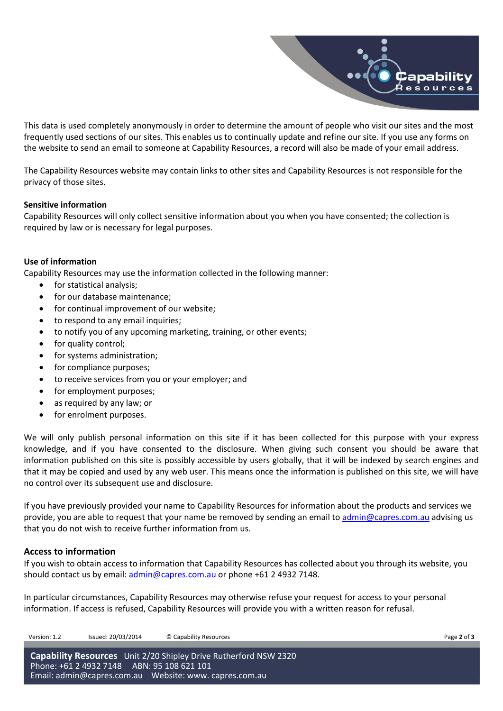

This data is used completely anonymously in order to determine the amount of people who visit our sites and the most frequently used sections of our sites. This enables us to continually update and refine our site. If you use any forms on the website to send an email to someone at Capability Resources, a record will also be made of your email address.

The Capability Resources website may contain links to other sites and Capability Resources is not responsible for the privacy of those sites.

#### **Sensitive information**

Capability Resources will only collect sensitive information about you when you have consented; the collection is required by law or is necessary for legal purposes.

#### **Use of information**

Capability Resources may use the information collected in the following manner:

- for statistical analysis:
- for our database maintenance;
- for continual improvement of our website;
- to respond to any email inquiries;
- to notify you of any upcoming marketing, training, or other events;
- for quality control;
- for systems administration;
- for compliance purposes;
- to receive services from you or your employer; and
- for employment purposes;
- as required by any law; or
- for enrolment purposes.

We will only publish personal information on this site if it has been collected for this purpose with your express knowledge, and if you have consented to the disclosure. When giving such consent you should be aware that information published on this site is possibly accessible by users globally, that it will be indexed by search engines and that it may be copied and used by any web user. This means once the information is published on this site, we will have no control over its subsequent use and disclosure.

If you have previously provided your name to Capability Resources for information about the products and services we provide, you are able to request that your name be removed by sending an email to [admin@capres.com.au](mailto:admin@capres.com.au) advising us that you do not wish to receive further information from us.

#### **Access to information**

If you wish to obtain access to information that Capability Resources has collected about you through its website, you should contact us by email[: admin@capres.com.au](mailto:admin@capres.com.au) or phone +61 2 4932 7148.

In particular circumstances, Capability Resources may otherwise refuse your request for access to your personal information. If access is refused, Capability Resources will provide you with a written reason for refusal.

Version: 1.2 Issued: 20/03/2014 © Capability Resources Page **2** of **3**

**Capability Resources** Unit 2/20 Shipley Drive Rutherford NSW 2320 Phone: +61 2 4932 7148 ABN: 95 108 621 101 Email: [admin@capres.com.au](mailto:admin@capres.com.au) Website: www. capres.com.au